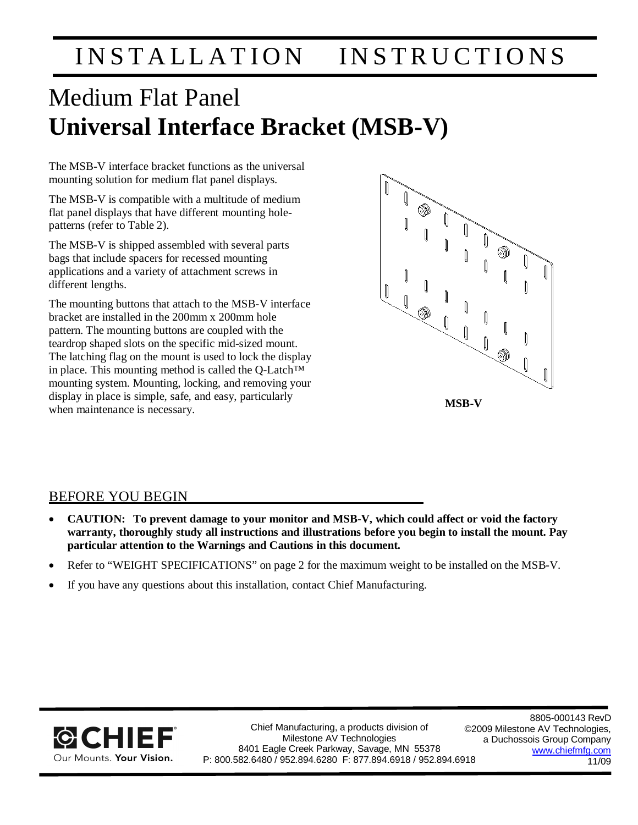# INSTALLATION INSTRUCTIONS

# Medium Flat Panel **Universal Interface Bracket (MSB-V)**

The MSB-V interface bracket functions as the universal mounting solution for medium flat panel displays.

The MSB-V is compatible with a multitude of medium flat panel displays that have different mounting holepatterns (refer to Table 2).

The MSB-V is shipped assembled with several parts bags that include spacers for recessed mounting applications and a variety of attachment screws in different lengths.

The mounting buttons that attach to the MSB-V interface bracket are installed in the 200mm x 200mm hole pattern. The mounting buttons are coupled with the teardrop shaped slots on the specific mid-sized mount. The latching flag on the mount is used to lock the display in place. This mounting method is called the Q-Latch™ mounting system. Mounting, locking, and removing your display in place is simple, safe, and easy, particularly when maintenance is necessary. **MSB-V** 



# BEFORE YOU BEGIN

- x **CAUTION: To prevent damage to your monitor and MSB-V, which could affect or void the factory warranty, thoroughly study all instructions and illustrations before you begin to install the mount. Pay particular attention to the Warnings and Cautions in this document.**
- Refer to "WEIGHT SPECIFICATIONS" on page 2 for the maximum weight to be installed on the MSB-V.
- If you have any questions about this installation, contact Chief Manufacturing.



Chief Manufacturing, a products division of Milestone AV Technologies 8401 Eagle Creek Parkway, Savage, MN 55378 P: 800.582.6480 / 952.894.6280 F: 877.894.6918 / 952.894.6918

8805-000143 RevD ©2009 Milestone AV Technologies, a Duchossois Group Company [www.chiefmfg.com](http://www.chiefmfg.com) 11/09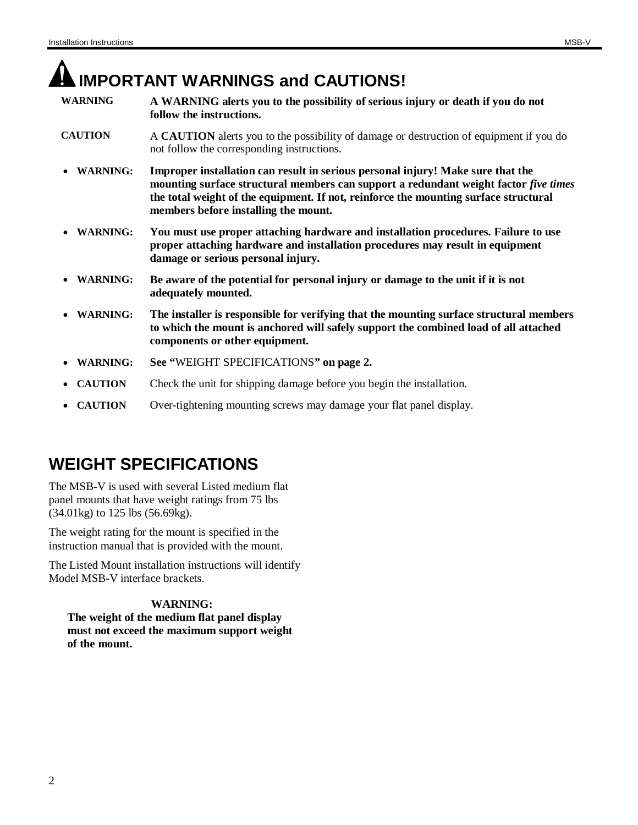# **IMPORTANT WARNINGS and CAUTIONS!**

- **WARNING A WARNING alerts you to the possibility of serious injury or death if you do not follow the instructions.**
- **CAUTION** A **CAUTION** alerts you to the possibility of damage or destruction of equipment if you do not follow the corresponding instructions.
- x **WARNING: Improper installation can result in serious personal injury! Make sure that the mounting surface structural members can support a redundant weight factor** *five times* **the total weight of the equipment. If not, reinforce the mounting surface structural members before installing the mount.**
- x **WARNING: You must use proper attaching hardware and installation procedures. Failure to use proper attaching hardware and installation procedures may result in equipment damage or serious personal injury.**
- x **WARNING: Be aware of the potential for personal injury or damage to the unit if it is not adequately mounted.**
- x **WARNING: The installer is responsible for verifying that the mounting surface structural members to which the mount is anchored will safely support the combined load of all attached components or other equipment.**
- x **WARNING: See "**WEIGHT SPECIFICATIONS**" on page 2.**
- **CAUTION** Check the unit for shipping damage before you begin the installation.
- **CAUTION** Over-tightening mounting screws may damage your flat panel display.

# **WEIGHT SPECIFICATIONS**

The MSB-V is used with several Listed medium flat panel mounts that have weight ratings from 75 lbs (34.01kg) to 125 lbs (56.69kg).

The weight rating for the mount is specified in the instruction manual that is provided with the mount.

The Listed Mount installation instructions will identify Model MSB-V interface brackets.

# **WARNING: The weight of the medium flat panel display**

**must not exceed the maximum support weight of the mount.**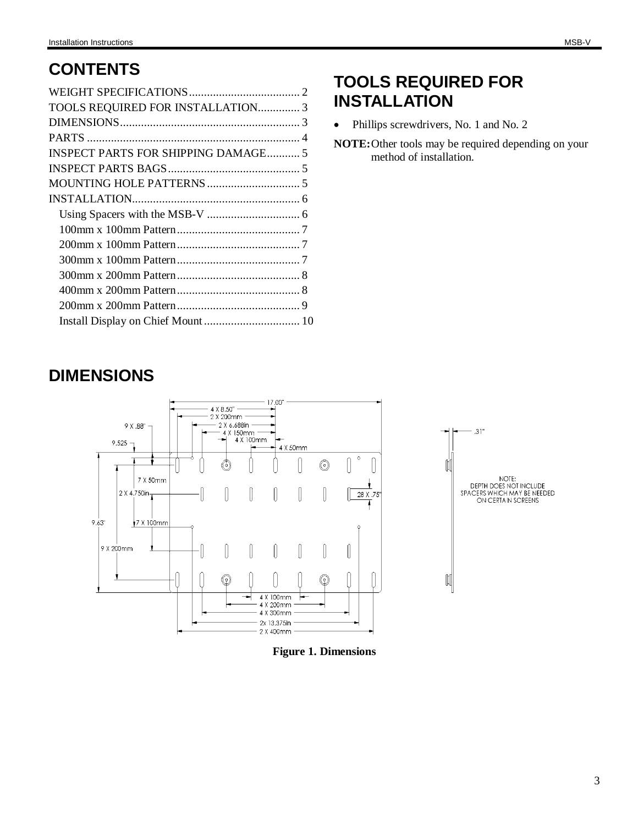| TOOLS REQUIRED FOR INSTALLATION 3          |  |
|--------------------------------------------|--|
|                                            |  |
|                                            |  |
| <b>INSPECT PARTS FOR SHIPPING DAMAGE 5</b> |  |
|                                            |  |
|                                            |  |
|                                            |  |
|                                            |  |
|                                            |  |
|                                            |  |
|                                            |  |
|                                            |  |
|                                            |  |
|                                            |  |
|                                            |  |

# **TOOLS REQUIRED FOR INSTALLATION**

• Phillips screwdrivers, No. 1 and No. 2

**NOTE:**Other tools may be required depending on your method of installation.

# **DIMENSIONS**





**Figure 1. Dimensions**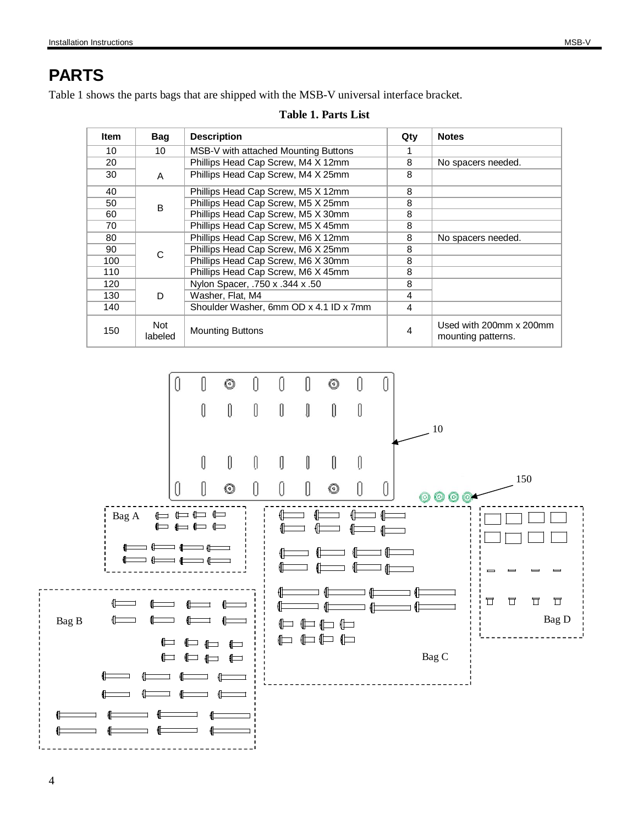# **PARTS**

Table 1 shows the parts bags that are shipped with the MSB-V universal interface bracket.

| <b>Item</b> | <b>Bag</b>     | <b>Description</b>                     | Qty | <b>Notes</b>                                  |
|-------------|----------------|----------------------------------------|-----|-----------------------------------------------|
| 10          | 10             | MSB-V with attached Mounting Buttons   |     |                                               |
| 20          |                | Phillips Head Cap Screw, M4 X 12mm     | 8   | No spacers needed.                            |
| 30          | A              | Phillips Head Cap Screw, M4 X 25mm     | 8   |                                               |
| 40          |                | Phillips Head Cap Screw, M5 X 12mm     | 8   |                                               |
| 50          | B              | Phillips Head Cap Screw, M5 X 25mm     | 8   |                                               |
| 60          |                | Phillips Head Cap Screw, M5 X 30mm     | 8   |                                               |
| 70          |                | Phillips Head Cap Screw, M5 X 45mm     | 8   |                                               |
| 80          |                | Phillips Head Cap Screw, M6 X 12mm     | 8   | No spacers needed.                            |
| 90          | C              | Phillips Head Cap Screw, M6 X 25mm     | 8   |                                               |
| 100         |                | Phillips Head Cap Screw, M6 X 30mm     | 8   |                                               |
| 110         |                | Phillips Head Cap Screw, M6 X 45mm     | 8   |                                               |
| 120         |                | Nylon Spacer, .750 x .344 x .50        | 8   |                                               |
| 130         | D              | Washer, Flat, M4                       | 4   |                                               |
| 140         |                | Shoulder Washer, 6mm OD x 4.1 ID x 7mm | 4   |                                               |
| 150         | Not<br>labeled | <b>Mounting Buttons</b>                | 4   | Used with 200mm x 200mm<br>mounting patterns. |



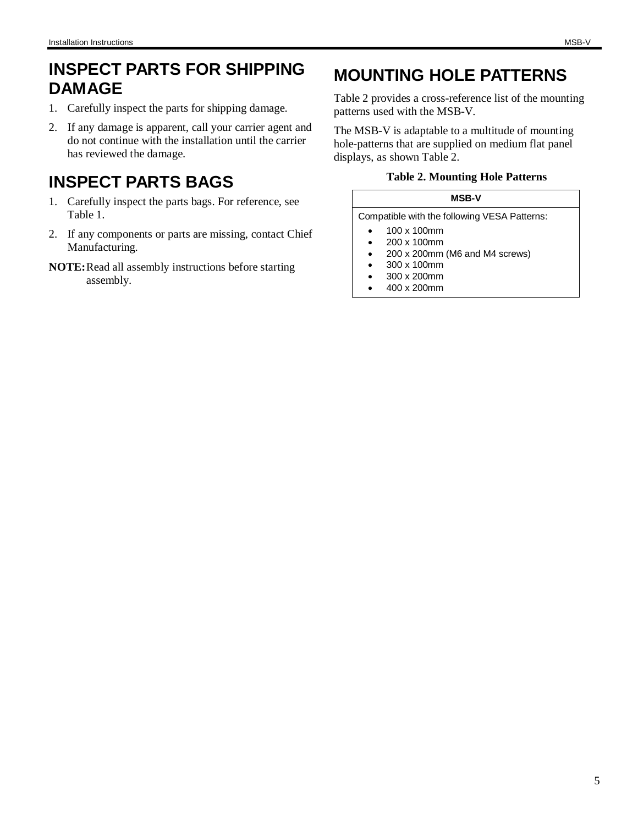# **INSPECT PARTS FOR SHIPPING DAMAGE**

- 1. Carefully inspect the parts for shipping damage.
- 2. If any damage is apparent, call your carrier agent and do not continue with the installation until the carrier has reviewed the damage.

# **INSPECT PARTS BAGS**

- 1. Carefully inspect the parts bags. For reference, see Table 1.
- 2. If any components or parts are missing, contact Chief Manufacturing.
- **NOTE:** Read all assembly instructions before starting assembly.

# **MOUNTING HOLE PATTERNS**

Table 2 provides a cross-reference list of the mounting patterns used with the MSB-V.

The MSB-V is adaptable to a multitude of mounting hole-patterns that are supplied on medium flat panel displays, as shown Table 2.

### **Table 2. Mounting Hole Patterns**

| <b>MSB-V</b>                                 |                                |  |  |  |  |
|----------------------------------------------|--------------------------------|--|--|--|--|
| Compatible with the following VESA Patterns: |                                |  |  |  |  |
|                                              | 100 x 100mm                    |  |  |  |  |
|                                              | 200 x 100mm                    |  |  |  |  |
| ٠                                            | 200 x 200mm (M6 and M4 screws) |  |  |  |  |
|                                              | 300 x 100mm                    |  |  |  |  |
|                                              | 300 x 200mm                    |  |  |  |  |
|                                              | 400 x 200mm                    |  |  |  |  |
|                                              |                                |  |  |  |  |
|                                              |                                |  |  |  |  |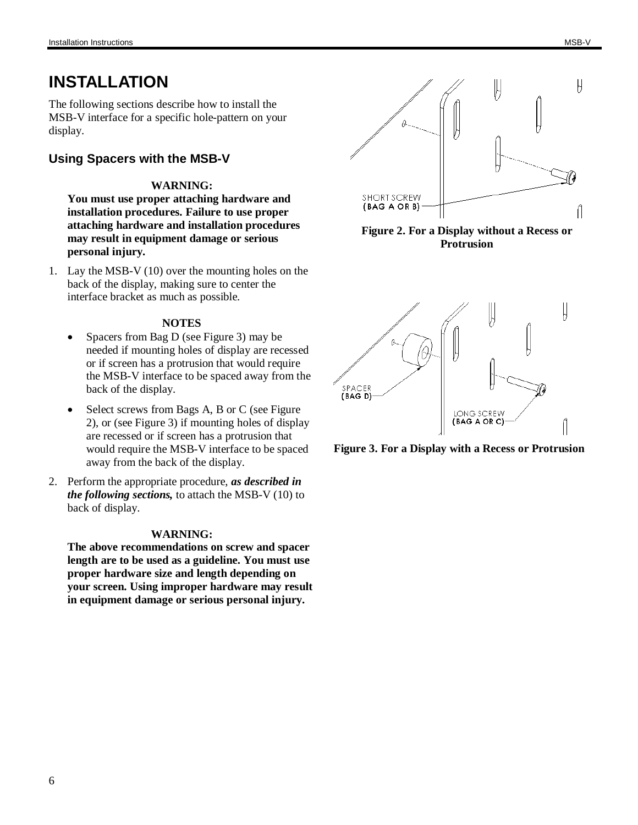# **INSTALLATION**

The following sections describe how to install the MSB-V interface for a specific hole-pattern on your display.

# **Using Spacers with the MSB-V**

### **WARNING:**

**You must use proper attaching hardware and installation procedures. Failure to use proper attaching hardware and installation procedures may result in equipment damage or serious personal injury.**

1. Lay the MSB-V (10) over the mounting holes on the back of the display, making sure to center the interface bracket as much as possible.

#### **NOTES**

- Spacers from Bag D (see Figure 3) may be needed if mounting holes of display are recessed or if screen has a protrusion that would require the MSB-V interface to be spaced away from the back of the display.
- Select screws from Bags A, B or C (see Figure 2), or (see Figure 3) if mounting holes of display are recessed or if screen has a protrusion that would require the MSB-V interface to be spaced away from the back of the display.
- 2. Perform the appropriate procedure, *as described in the following sections,* to attach the MSB-V (10) to back of display.

#### **WARNING:**

**The above recommendations on screw and spacer length are to be used as a guideline. You must use proper hardware size and length depending on your screen. Using improper hardware may result in equipment damage or serious personal injury.**



**Figure 2. For a Display without a Recess or Protrusion**



**Figure 3. For a Display with a Recess or Protrusion**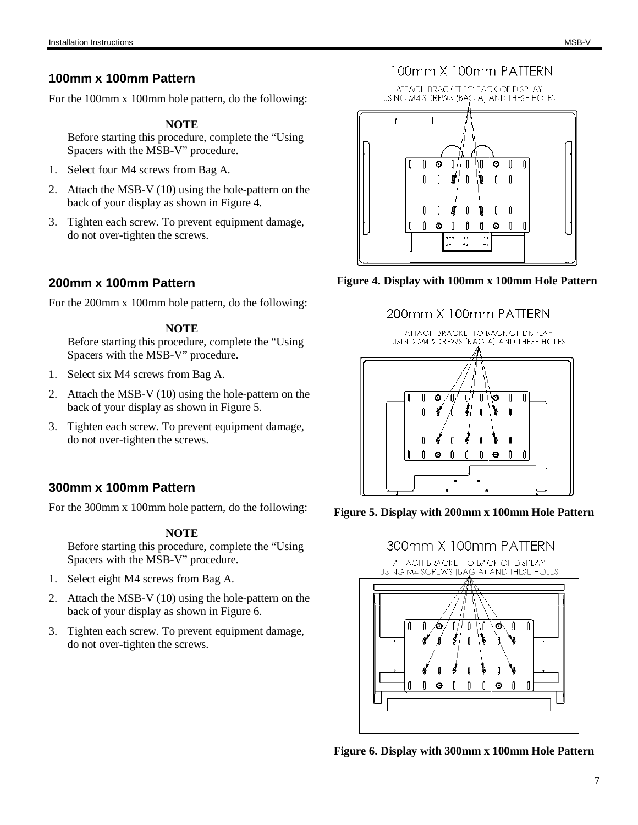For the 100mm x 100mm hole pattern, do the following:

### **NOTE**

Before starting this procedure, complete the "Using Spacers with the MSB-V" procedure.

- 1. Select four M4 screws from Bag A.
- 2. Attach the MSB-V (10) using the hole-pattern on the back of your display as shown in Figure 4.
- 3. Tighten each screw. To prevent equipment damage, do not over-tighten the screws.

# **200mm x 100mm Pattern**

For the 200mm x 100mm hole pattern, do the following:

### **NOTE**

Before starting this procedure, complete the "Using Spacers with the MSB-V" procedure.

- 1. Select six M4 screws from Bag A.
- 2. Attach the MSB-V (10) using the hole-pattern on the back of your display as shown in Figure 5.
- 3. Tighten each screw. To prevent equipment damage, do not over-tighten the screws.

## **300mm x 100mm Pattern**

For the 300mm x 100mm hole pattern, do the following:

### **NOTE**

Before starting this procedure, complete the "Using Spacers with the MSB-V" procedure.

- 1. Select eight M4 screws from Bag A.
- 2. Attach the MSB-V (10) using the hole-pattern on the back of your display as shown in Figure 6.
- 3. Tighten each screw. To prevent equipment damage, do not over-tighten the screws.

# 100mm X 100mm PATTERN





# 200mm X 100mm PATTERN







**Figure 6. Display with 300mm x 100mm Hole Pattern**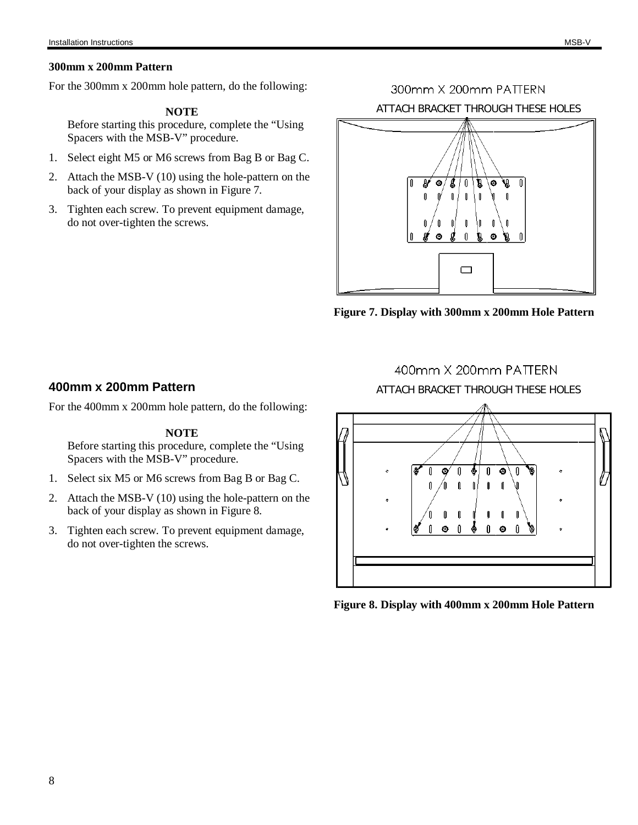#### **300mm x 200mm Pattern**

For the 300mm x 200mm hole pattern, do the following:

### **NOTE**

Before starting this procedure, complete the "Using Spacers with the MSB-V" procedure.

- 1. Select eight M5 or M6 screws from Bag B or Bag C.
- 2. Attach the MSB-V (10) using the hole-pattern on the back of your display as shown in Figure 7.
- 3. Tighten each screw. To prevent equipment damage, do not over-tighten the screws.

300mm X 200mm PATTERN ATTACH BRACKET THROUGH THESE HOLES



**Figure 7. Display with 300mm x 200mm Hole Pattern**

### **400mm x 200mm Pattern**

For the 400mm x 200mm hole pattern, do the following:

#### **NOTE**

Before starting this procedure, complete the "Using Spacers with the MSB-V" procedure.

- 1. Select six M5 or M6 screws from Bag B or Bag C.
- 2. Attach the MSB-V (10) using the hole-pattern on the back of your display as shown in Figure 8.
- 3. Tighten each screw. To prevent equipment damage, do not over-tighten the screws.

### 400mm X 200mm PATTERN

ATTACH BRACKET THROUGH THESE HOLES



**Figure 8. Display with 400mm x 200mm Hole Pattern**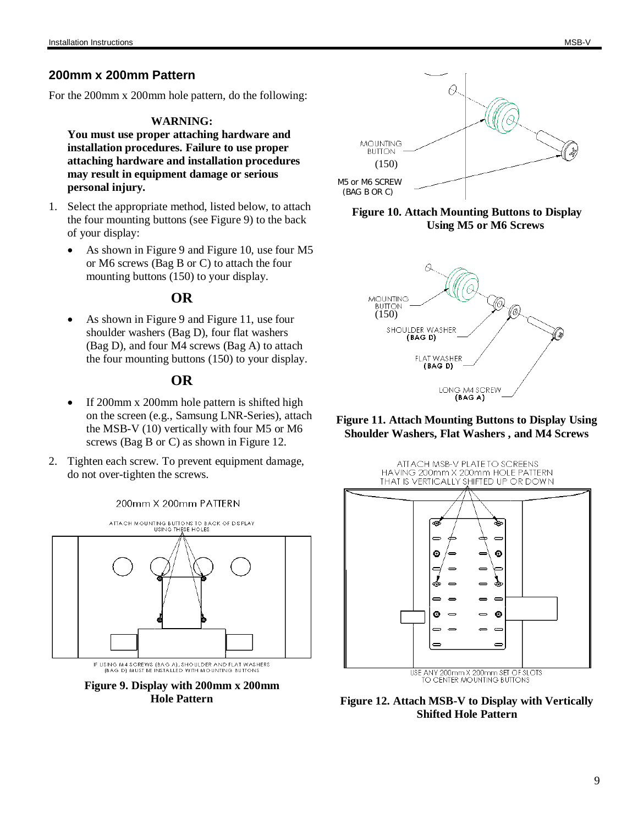### **200mm x 200mm Pattern**

For the 200mm x 200mm hole pattern, do the following:

#### **WARNING:**

**You must use proper attaching hardware and installation procedures. Failure to use proper attaching hardware and installation procedures may result in equipment damage or serious personal injury.**

- 1. Select the appropriate method, listed below, to attach the four mounting buttons (see Figure 9) to the back of your display:
	- As shown in Figure 9 and Figure 10, use four M5 or M6 screws (Bag B or C) to attach the four mounting buttons (150) to your display.

### **OR**

As shown in Figure 9 and Figure 11, use four shoulder washers (Bag D), four flat washers (Bag D), and four M4 screws (Bag A) to attach the four mounting buttons (150) to your display.

### **OR**

- x If 200mm x 200mm hole pattern is shifted high on the screen (e.g., Samsung LNR-Series), attach the MSB-V (10) vertically with four M5 or M6 screws (Bag B or C) as shown in Figure 12.
- 2. Tighten each screw. To prevent equipment damage, do not over-tighten the screws.



IF USING M4 SCREWS (BAG A), SHOULDER AND FLAT WASHERS<br>(BAG D) MUST BE INSTALLED WITH MOUNTING BUTTONS

**Figure 9. Display with 200mm x 200mm Hole Pattern**



#### **Figure 10. Attach Mounting Buttons to Display Using M5 or M6 Screws**



**Figure 11. Attach Mounting Buttons to Display Using Shoulder Washers, Flat Washers , and M4 Screws**





**Figure 12. Attach MSB-V to Display with Vertically Shifted Hole Pattern**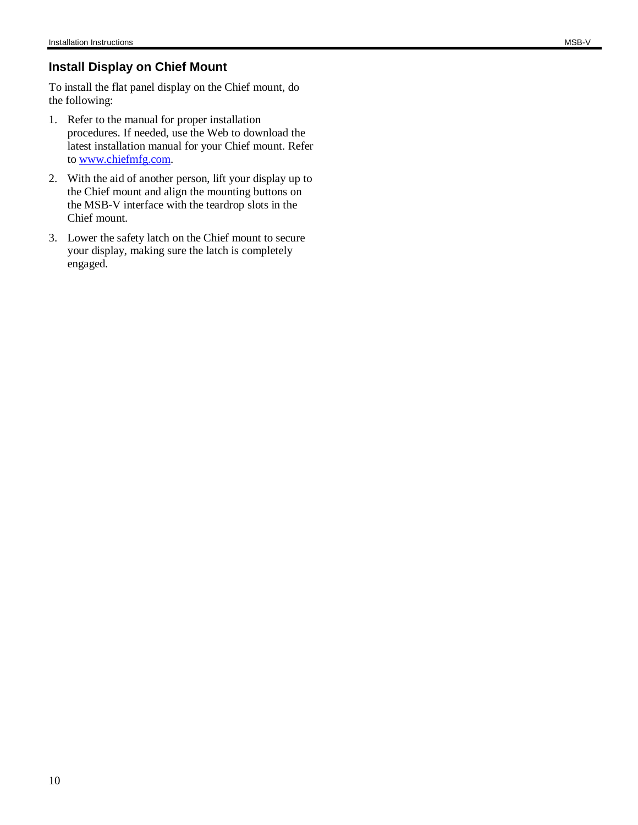## **Install Display on Chief Mount**

To install the flat panel display on the Chief mount, do the following:

- 1. Refer to the manual for proper installation procedures. If needed, use the Web to download the latest installation manual for your Chief mount. Refer to [www.chiefmfg.com.](http://www.chiefmfg.com.)
- 2. With the aid of another person, lift your display up to the Chief mount and align the mounting buttons on the MSB-V interface with the teardrop slots in the Chief mount.
- 3. Lower the safety latch on the Chief mount to secure your display, making sure the latch is completely engaged.